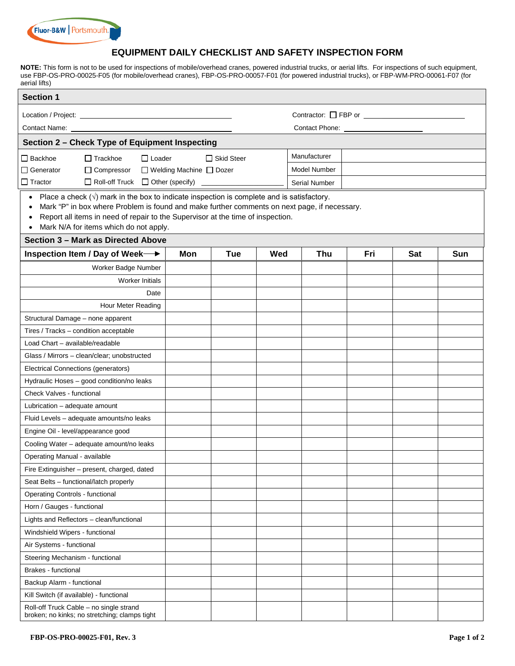

#### **EQUIPMENT DAILY CHECKLIST AND SAFETY INSPECTION FORM**

**NOTE:** This form is not to be used for inspections of mobile/overhead cranes, powered industrial trucks, or aerial lifts. For inspections of such equipment, use FBP-OS-PRO-00025-F05 (for mobile/overhead cranes), FBP-OS-PRO-00057-F01 (for powered industrial trucks), or FBP-WM-PRO-00061-F07 (for aerial lifts)

| <b>Section 1</b>                                                                                                                                                                                                                                                                                                                                                        |                           |              |     |                      |     |     |     |  |  |  |
|-------------------------------------------------------------------------------------------------------------------------------------------------------------------------------------------------------------------------------------------------------------------------------------------------------------------------------------------------------------------------|---------------------------|--------------|-----|----------------------|-----|-----|-----|--|--|--|
|                                                                                                                                                                                                                                                                                                                                                                         |                           |              |     |                      |     |     |     |  |  |  |
|                                                                                                                                                                                                                                                                                                                                                                         |                           |              |     |                      |     |     |     |  |  |  |
| Contact Name:                                                                                                                                                                                                                                                                                                                                                           |                           |              |     |                      |     |     |     |  |  |  |
| Section 2 - Check Type of Equipment Inspecting                                                                                                                                                                                                                                                                                                                          |                           |              |     |                      |     |     |     |  |  |  |
| $\Box$ Trackhoe<br>$\Box$ Loader<br>$\Box$ Backhoe                                                                                                                                                                                                                                                                                                                      |                           | □ Skid Steer |     | Manufacturer         |     |     |     |  |  |  |
| Generator<br>□ Compressor                                                                                                                                                                                                                                                                                                                                               | □ Welding Machine □ Dozer |              |     | <b>Model Number</b>  |     |     |     |  |  |  |
| $\Box$ Roll-off Truck<br>$\Box$ Tractor                                                                                                                                                                                                                                                                                                                                 | $\Box$ Other (specify)    |              |     | <b>Serial Number</b> |     |     |     |  |  |  |
| • Place a check $(\sqrt{})$ mark in the box to indicate inspection is complete and is satisfactory.<br>Mark "P" in box where Problem is found and make further comments on next page, if necessary.<br>$\bullet$<br>Report all items in need of repair to the Supervisor at the time of inspection.<br>$\bullet$<br>Mark N/A for items which do not apply.<br>$\bullet$ |                           |              |     |                      |     |     |     |  |  |  |
| Section 3 - Mark as Directed Above                                                                                                                                                                                                                                                                                                                                      |                           |              |     |                      |     |     |     |  |  |  |
| Inspection Item / Day of Week →                                                                                                                                                                                                                                                                                                                                         | Mon                       | Tue          | Wed | Thu                  | Fri | Sat | Sun |  |  |  |
| Worker Badge Number                                                                                                                                                                                                                                                                                                                                                     |                           |              |     |                      |     |     |     |  |  |  |
| <b>Worker Initials</b>                                                                                                                                                                                                                                                                                                                                                  |                           |              |     |                      |     |     |     |  |  |  |
| Date                                                                                                                                                                                                                                                                                                                                                                    |                           |              |     |                      |     |     |     |  |  |  |
| Hour Meter Reading                                                                                                                                                                                                                                                                                                                                                      |                           |              |     |                      |     |     |     |  |  |  |
| Structural Damage - none apparent                                                                                                                                                                                                                                                                                                                                       |                           |              |     |                      |     |     |     |  |  |  |
| Tires / Tracks - condition acceptable                                                                                                                                                                                                                                                                                                                                   |                           |              |     |                      |     |     |     |  |  |  |
| Load Chart - available/readable                                                                                                                                                                                                                                                                                                                                         |                           |              |     |                      |     |     |     |  |  |  |
| Glass / Mirrors - clean/clear; unobstructed                                                                                                                                                                                                                                                                                                                             |                           |              |     |                      |     |     |     |  |  |  |
| Electrical Connections (generators)                                                                                                                                                                                                                                                                                                                                     |                           |              |     |                      |     |     |     |  |  |  |
| Hydraulic Hoses - good condition/no leaks                                                                                                                                                                                                                                                                                                                               |                           |              |     |                      |     |     |     |  |  |  |
| Check Valves - functional                                                                                                                                                                                                                                                                                                                                               |                           |              |     |                      |     |     |     |  |  |  |
| Lubrication - adequate amount                                                                                                                                                                                                                                                                                                                                           |                           |              |     |                      |     |     |     |  |  |  |
| Fluid Levels - adequate amounts/no leaks                                                                                                                                                                                                                                                                                                                                |                           |              |     |                      |     |     |     |  |  |  |
| Engine Oil - level/appearance good                                                                                                                                                                                                                                                                                                                                      |                           |              |     |                      |     |     |     |  |  |  |
| Cooling Water - adequate amount/no leaks                                                                                                                                                                                                                                                                                                                                |                           |              |     |                      |     |     |     |  |  |  |
| Operating Manual - available                                                                                                                                                                                                                                                                                                                                            |                           |              |     |                      |     |     |     |  |  |  |
| Fire Extinguisher - present, charged, dated                                                                                                                                                                                                                                                                                                                             |                           |              |     |                      |     |     |     |  |  |  |
| Seat Belts - functional/latch properly                                                                                                                                                                                                                                                                                                                                  |                           |              |     |                      |     |     |     |  |  |  |
| <b>Operating Controls - functional</b>                                                                                                                                                                                                                                                                                                                                  |                           |              |     |                      |     |     |     |  |  |  |
| Horn / Gauges - functional                                                                                                                                                                                                                                                                                                                                              |                           |              |     |                      |     |     |     |  |  |  |
| Lights and Reflectors - clean/functional                                                                                                                                                                                                                                                                                                                                |                           |              |     |                      |     |     |     |  |  |  |
| Windshield Wipers - functional                                                                                                                                                                                                                                                                                                                                          |                           |              |     |                      |     |     |     |  |  |  |
| Air Systems - functional                                                                                                                                                                                                                                                                                                                                                |                           |              |     |                      |     |     |     |  |  |  |
| Steering Mechanism - functional                                                                                                                                                                                                                                                                                                                                         |                           |              |     |                      |     |     |     |  |  |  |
| <b>Brakes</b> - functional                                                                                                                                                                                                                                                                                                                                              |                           |              |     |                      |     |     |     |  |  |  |
| Backup Alarm - functional                                                                                                                                                                                                                                                                                                                                               |                           |              |     |                      |     |     |     |  |  |  |
| Kill Switch (if available) - functional                                                                                                                                                                                                                                                                                                                                 |                           |              |     |                      |     |     |     |  |  |  |
| Roll-off Truck Cable - no single strand<br>broken; no kinks; no stretching; clamps tight                                                                                                                                                                                                                                                                                |                           |              |     |                      |     |     |     |  |  |  |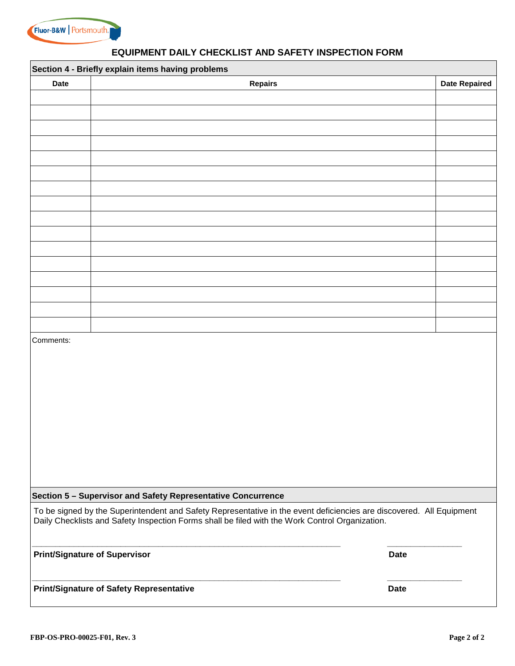

## **EQUIPMENT DAILY CHECKLIST AND SAFETY INSPECTION FORM**

| Section 4 - Briefly explain items having problems |                                                                                                                                                                                                                         |                      |  |  |  |  |  |  |
|---------------------------------------------------|-------------------------------------------------------------------------------------------------------------------------------------------------------------------------------------------------------------------------|----------------------|--|--|--|--|--|--|
| <b>Date</b>                                       | <b>Repairs</b>                                                                                                                                                                                                          | <b>Date Repaired</b> |  |  |  |  |  |  |
|                                                   |                                                                                                                                                                                                                         |                      |  |  |  |  |  |  |
|                                                   |                                                                                                                                                                                                                         |                      |  |  |  |  |  |  |
|                                                   |                                                                                                                                                                                                                         |                      |  |  |  |  |  |  |
|                                                   |                                                                                                                                                                                                                         |                      |  |  |  |  |  |  |
|                                                   |                                                                                                                                                                                                                         |                      |  |  |  |  |  |  |
|                                                   |                                                                                                                                                                                                                         |                      |  |  |  |  |  |  |
|                                                   |                                                                                                                                                                                                                         |                      |  |  |  |  |  |  |
|                                                   |                                                                                                                                                                                                                         |                      |  |  |  |  |  |  |
|                                                   |                                                                                                                                                                                                                         |                      |  |  |  |  |  |  |
|                                                   |                                                                                                                                                                                                                         |                      |  |  |  |  |  |  |
|                                                   |                                                                                                                                                                                                                         |                      |  |  |  |  |  |  |
|                                                   |                                                                                                                                                                                                                         |                      |  |  |  |  |  |  |
|                                                   |                                                                                                                                                                                                                         |                      |  |  |  |  |  |  |
|                                                   |                                                                                                                                                                                                                         |                      |  |  |  |  |  |  |
|                                                   |                                                                                                                                                                                                                         |                      |  |  |  |  |  |  |
|                                                   |                                                                                                                                                                                                                         |                      |  |  |  |  |  |  |
|                                                   |                                                                                                                                                                                                                         |                      |  |  |  |  |  |  |
| Comments:                                         |                                                                                                                                                                                                                         |                      |  |  |  |  |  |  |
|                                                   |                                                                                                                                                                                                                         |                      |  |  |  |  |  |  |
|                                                   |                                                                                                                                                                                                                         |                      |  |  |  |  |  |  |
|                                                   |                                                                                                                                                                                                                         |                      |  |  |  |  |  |  |
|                                                   |                                                                                                                                                                                                                         |                      |  |  |  |  |  |  |
|                                                   |                                                                                                                                                                                                                         |                      |  |  |  |  |  |  |
|                                                   |                                                                                                                                                                                                                         |                      |  |  |  |  |  |  |
|                                                   |                                                                                                                                                                                                                         |                      |  |  |  |  |  |  |
|                                                   |                                                                                                                                                                                                                         |                      |  |  |  |  |  |  |
|                                                   |                                                                                                                                                                                                                         |                      |  |  |  |  |  |  |
|                                                   |                                                                                                                                                                                                                         |                      |  |  |  |  |  |  |
|                                                   | Section 5 - Supervisor and Safety Representative Concurrence                                                                                                                                                            |                      |  |  |  |  |  |  |
|                                                   | To be signed by the Superintendent and Safety Representative in the event deficiencies are discovered. All Equipment<br>Daily Checklists and Safety Inspection Forms shall be filed with the Work Control Organization. |                      |  |  |  |  |  |  |
|                                                   | <b>Print/Signature of Supervisor</b><br><b>Date</b>                                                                                                                                                                     |                      |  |  |  |  |  |  |
|                                                   | Print/Signature of Safety Representative<br><b>Date</b>                                                                                                                                                                 |                      |  |  |  |  |  |  |
|                                                   |                                                                                                                                                                                                                         |                      |  |  |  |  |  |  |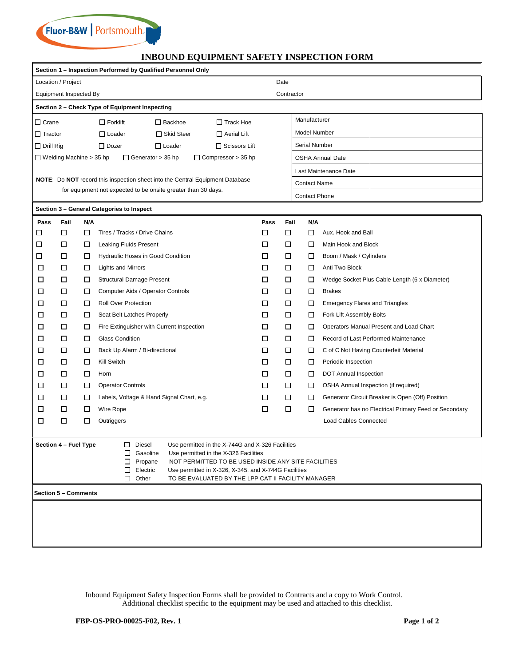

#### **INBOUND EQUIPMENT SAFETY INSPECTION FORM**

| Section 1 - Inspection Performed by Qualified Personnel Only                                                                                                                                                                                                                                                                                                             |      |        |                                                                               |      |        |                         |                                                       |  |  |
|--------------------------------------------------------------------------------------------------------------------------------------------------------------------------------------------------------------------------------------------------------------------------------------------------------------------------------------------------------------------------|------|--------|-------------------------------------------------------------------------------|------|--------|-------------------------|-------------------------------------------------------|--|--|
| Location / Project<br>Date                                                                                                                                                                                                                                                                                                                                               |      |        |                                                                               |      |        |                         |                                                       |  |  |
| Contractor<br>Equipment Inspected By                                                                                                                                                                                                                                                                                                                                     |      |        |                                                                               |      |        |                         |                                                       |  |  |
| Section 2 - Check Type of Equipment Inspecting                                                                                                                                                                                                                                                                                                                           |      |        |                                                                               |      |        |                         |                                                       |  |  |
| $\Box$ Crane                                                                                                                                                                                                                                                                                                                                                             |      |        | $\Box$ Forklift<br>$\Box$ Backhoe<br>$\Box$ Track Hoe                         |      |        | Manufacturer            |                                                       |  |  |
| $\Box$ Tractor                                                                                                                                                                                                                                                                                                                                                           |      |        | $\Box$ Skid Steer<br>$\Box$ Loader<br>$\Box$ Aerial Lift                      |      |        | Model Number            |                                                       |  |  |
| $\Box$ Drill Rig                                                                                                                                                                                                                                                                                                                                                         |      |        | $\Box$ Dozer<br>$\Box$ Loader<br>$\Box$ Scissors Lift                         |      |        | Serial Number           |                                                       |  |  |
| $\Box$ Welding Machine > 35 hp                                                                                                                                                                                                                                                                                                                                           |      |        | $\Box$ Generator > 35 hp<br>$\Box$ Compressor > 35 hp                         |      |        | <b>OSHA Annual Date</b> |                                                       |  |  |
|                                                                                                                                                                                                                                                                                                                                                                          |      |        |                                                                               |      |        |                         | Last Maintenance Date                                 |  |  |
|                                                                                                                                                                                                                                                                                                                                                                          |      |        | NOTE: Do NOT record this inspection sheet into the Central Equipment Database |      |        | <b>Contact Name</b>     |                                                       |  |  |
|                                                                                                                                                                                                                                                                                                                                                                          |      |        | for equipment not expected to be onsite greater than 30 days.                 |      |        | <b>Contact Phone</b>    |                                                       |  |  |
|                                                                                                                                                                                                                                                                                                                                                                          |      |        | Section 3 - General Categories to Inspect                                     |      |        |                         |                                                       |  |  |
| Pass                                                                                                                                                                                                                                                                                                                                                                     | Fail | N/A    |                                                                               | Pass | Fail   | N/A                     |                                                       |  |  |
| ப                                                                                                                                                                                                                                                                                                                                                                        | □    | □      | Tires / Tracks / Drive Chains                                                 | □    | □      | □                       | Aux. Hook and Ball                                    |  |  |
| ⊔                                                                                                                                                                                                                                                                                                                                                                        | □    | □      | Leaking Fluids Present                                                        | □    | □      | □                       | Main Hook and Block                                   |  |  |
| □                                                                                                                                                                                                                                                                                                                                                                        | □    | □      | Hydraulic Hoses in Good Condition                                             | □    | □      | □                       | Boom / Mask / Cylinders                               |  |  |
| □                                                                                                                                                                                                                                                                                                                                                                        | □    | □      | Lights and Mirrors                                                            | □    | □      | □                       | Anti Two Block                                        |  |  |
| ⊔                                                                                                                                                                                                                                                                                                                                                                        | □    | □      | <b>Structural Damage Present</b>                                              | □    | □      | □                       | Wedge Socket Plus Cable Length (6 x Diameter)         |  |  |
| □                                                                                                                                                                                                                                                                                                                                                                        | □    | □      | Computer Aids / Operator Controls                                             | □    | □      | □                       | <b>Brakes</b>                                         |  |  |
| □                                                                                                                                                                                                                                                                                                                                                                        | □    | □      | <b>Roll Over Protection</b>                                                   | □    | □      | □                       | <b>Emergency Flares and Triangles</b>                 |  |  |
| □                                                                                                                                                                                                                                                                                                                                                                        | □    | $\Box$ | Seat Belt Latches Properly                                                    | □    | □      | □                       | Fork Lift Assembly Bolts                              |  |  |
| □                                                                                                                                                                                                                                                                                                                                                                        | □    | □      | Fire Extinguisher with Current Inspection                                     | □    | □      | □                       | Operators Manual Present and Load Chart               |  |  |
| □                                                                                                                                                                                                                                                                                                                                                                        | □    | □      | <b>Glass Condition</b>                                                        | □    | □      | □                       | Record of Last Performed Maintenance                  |  |  |
| □                                                                                                                                                                                                                                                                                                                                                                        | □    | □      | Back Up Alarm / Bi-directional                                                | □    | □      | □                       | C of C Not Having Counterfeit Material                |  |  |
| □                                                                                                                                                                                                                                                                                                                                                                        | □    | □      | Kill Switch                                                                   | □    | □      | □                       | Periodic Inspection                                   |  |  |
| □                                                                                                                                                                                                                                                                                                                                                                        | □    | □      | Horn                                                                          | □    | □      | □                       | DOT Annual Inspection                                 |  |  |
| □                                                                                                                                                                                                                                                                                                                                                                        | □    | □      | <b>Operator Controls</b>                                                      | □    | □      | □                       | OSHA Annual Inspection (if required)                  |  |  |
| □                                                                                                                                                                                                                                                                                                                                                                        | □    | $\Box$ | Labels, Voltage & Hand Signal Chart, e.g.                                     | □    | □      | □                       | Generator Circuit Breaker is Open (Off) Position      |  |  |
| □                                                                                                                                                                                                                                                                                                                                                                        | □    | □      | Wire Rope                                                                     | □    | $\Box$ | □                       | Generator has no Electrical Primary Feed or Secondary |  |  |
| □                                                                                                                                                                                                                                                                                                                                                                        | □    | □      | Outriggers                                                                    |      |        |                         | <b>Load Cables Connected</b>                          |  |  |
| Section 4 - Fuel Type<br>Diesel<br>□<br>Use permitted in the X-744G and X-326 Facilities<br>Gasoline<br>□<br>Use permitted in the X-326 Facilities<br>Propane<br>NOT PERMITTED TO BE USED INSIDE ANY SITE FACILITIES<br>□<br>□<br>Electric<br>Use permitted in X-326, X-345, and X-744G Facilities<br>$\Box$ Other<br>TO BE EVALUATED BY THE LPP CAT II FACILITY MANAGER |      |        |                                                                               |      |        |                         |                                                       |  |  |
| Section 5 - Comments                                                                                                                                                                                                                                                                                                                                                     |      |        |                                                                               |      |        |                         |                                                       |  |  |
|                                                                                                                                                                                                                                                                                                                                                                          |      |        |                                                                               |      |        |                         |                                                       |  |  |
|                                                                                                                                                                                                                                                                                                                                                                          |      |        |                                                                               |      |        |                         |                                                       |  |  |
|                                                                                                                                                                                                                                                                                                                                                                          |      |        |                                                                               |      |        |                         |                                                       |  |  |
|                                                                                                                                                                                                                                                                                                                                                                          |      |        |                                                                               |      |        |                         |                                                       |  |  |
|                                                                                                                                                                                                                                                                                                                                                                          |      |        |                                                                               |      |        |                         |                                                       |  |  |

Inbound Equipment Safety Inspection Forms shall be provided to Contracts and a copy to Work Control. Additional checklist specific to the equipment may be used and attached to this checklist.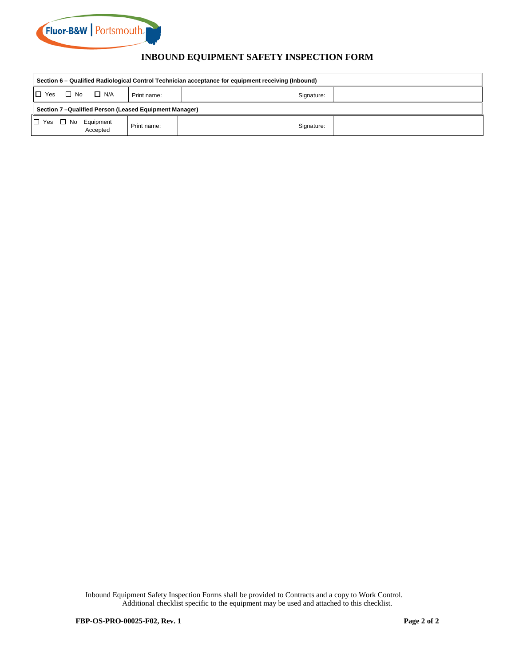

# **INBOUND EQUIPMENT SAFETY INSPECTION FORM**

| Section 6 – Qualified Radiological Control Technician acceptance for equipment receiving (Inbound) |                         |             |  |            |  |  |  |  |
|----------------------------------------------------------------------------------------------------|-------------------------|-------------|--|------------|--|--|--|--|
| $\Box$ Yes                                                                                         | $\Box$ No<br>$\Box$ N/A | Print name: |  | Signature: |  |  |  |  |
| Section 7-Qualified Person (Leased Equipment Manager)                                              |                         |             |  |            |  |  |  |  |
| $\Box$ Yes<br>$\Box$ No                                                                            | Equipment<br>Accepted   | Print name: |  | Signature: |  |  |  |  |

Inbound Equipment Safety Inspection Forms shall be provided to Contracts and a copy to Work Control. Additional checklist specific to the equipment may be used and attached to this checklist.